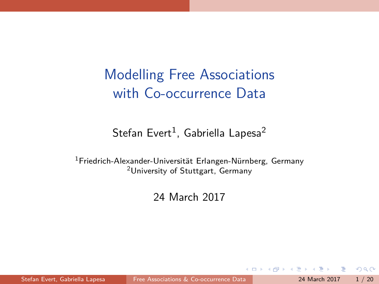<span id="page-0-0"></span>Modelling Free Associations with Co-occurrence Data

Stefan Evert<sup>1</sup>, Gabriella Lapesa<sup>2</sup>

<sup>1</sup>Friedrich-Alexander-Universität Erlangen-Nürnberg, Germany 2University of Stuttgart, Germany

24 March 2017

Stefan Evert, Gabriella Lapesa [Free Associations & Co-occurrence Data](#page-19-0) 24 March 2017 1 / 20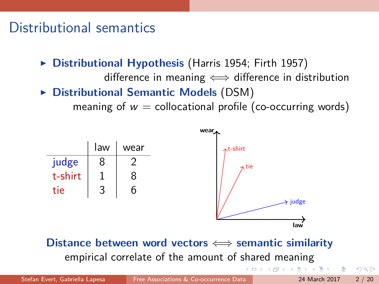## Distributional semantics

- ▶ Distributional Hypothesis [\(Harris 1954;](#page-18-0) [Firth 1957\)](#page-18-1) difference in meaning  $\iff$  difference in distribution
- **Distributional Semantic Models (DSM)**

meaning of  $w =$  collocational profile (co-occurring words)



**Distance between word vectors**  $\Longleftrightarrow$  semantic similarity empirical correlate of the amount of shared meaning

 $QQ$ 

←何 ▶ イヨ ▶ イヨ ▶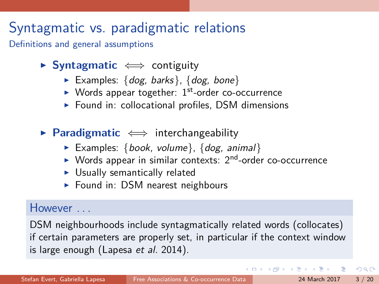# Syntagmatic vs. paradigmatic relations

Definitions and general assumptions

- **► Syntagmatic**  $\iff$  contiguity
	- <sup>I</sup> Examples: {*dog, barks*}, {*dog, bone*}
	- $\triangleright$  Words appear together: 1<sup>st</sup>-order co-occurrence
	- $\triangleright$  Found in: collocational profiles, DSM dimensions
- **► Paradigmatic**  $\iff$  interchangeability
	- ▶ Examples: {*book, volume*}, {*dog, animal*}
	- $\triangleright$  Words appear in similar contexts:  $2^{nd}$ -order co-occurrence
	- $\triangleright$  Usually semantically related
	- $\triangleright$  Found in: DSM nearest neighbours

#### However ...

DSM neighbourhoods include syntagmatically related words (collocates) if certain parameters are properly set, in particular if the context window is large enough [\(Lapesa](#page-19-1) *et al.* 2014).

 $\Omega$ 

イロト イ押 トイヨ トイヨ トーヨー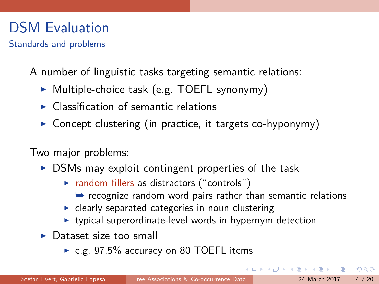# DSM Evaluation

Standards and problems

A number of linguistic tasks targeting semantic relations:

- ▶ Multiple-choice task (e.g. TOEFL synonymy)
- $\triangleright$  Classification of semantic relations
- $\triangleright$  Concept clustering (in practice, it targets co-hyponymy)

Two major problems:

- $\triangleright$  DSMs may exploit contingent properties of the task
	- $\triangleright$  random fillers as distractors ("controls")
		- $\rightarrow$  recognize random word pairs rather than semantic relations
	- $\triangleright$  clearly separated categories in noun clustering
	- $\rightarrow$  typical superordinate-level words in hypernym detection
- $\triangleright$  Dataset size too small
	- $\blacktriangleright$  e.g. 97.5% accuracy on 80 TOEFL items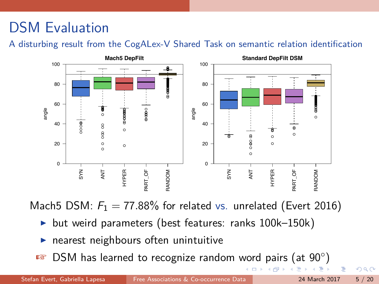# DSM Evaluation

A disturbing result from the CogALex-V Shared Task on semantic relation identification



Mach5 DSM:  $F_1 = 77.88\%$  for related vs. unrelated [\(Evert 2016\)](#page-18-2)

- $\triangleright$  but weird parameters (best features: ranks 100k–150k)
- nearest neighbours often unintuitive

 $\mathbb{F}$  DSM has learned to recognize random word pairs (at 90 $^{\circ}$ )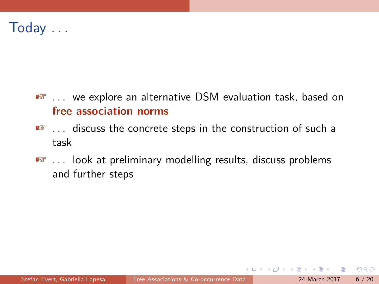<span id="page-5-0"></span>Today . . .

- $\sqrt{10}$  ... we explore an alternative DSM evaluation task, based on **free association norms**
- $\sqrt{10}$  ... discuss the concrete steps in the construction of such a task
- **ES** . . . look at preliminary modelling results, discuss problems and further steps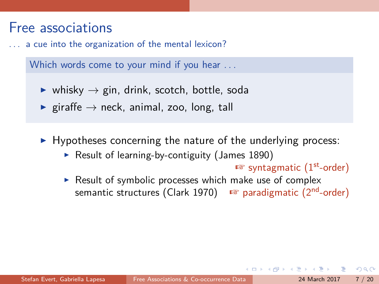## <span id="page-6-0"></span>Free associations

a cue into the organization of the mental lexicon?

Which words come to your mind if you hear ...

- $\blacktriangleright$  whisky  $\rightarrow$  gin, drink, scotch, bottle, soda
- **Exercice**  $\rightarrow$  neck, animal, zoo, long, tall
- $\blacktriangleright$  Hypotheses concerning the nature of the underlying process:
	- Result of learning-by-contiguity (James  $1890$ )

 $\mathbb{R}$  syntagmatic  $(1^{st}$ -order)

 $\triangleright$  Result of symbolic processes which make use of complex semantic structures [\(Clark 1970\)](#page-18-4)  $\sqrt{p}$  paradigmatic (2<sup>nd</sup>-order)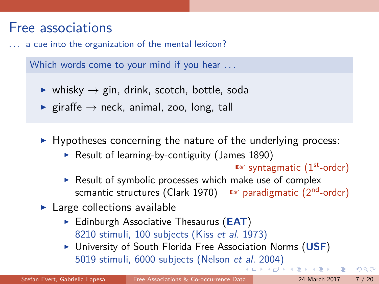## <span id="page-7-0"></span>Free associations

a cue into the organization of the mental lexicon?

Which words come to your mind if you hear ...

- $\triangleright$  whisky  $\rightarrow$  gin, drink, scotch, bottle, soda
- **Exercice**  $\rightarrow$  neck, animal, zoo, long, tall
- $\blacktriangleright$  Hypotheses concerning the nature of the underlying process:
	- Result of learning-by-contiguity (James  $1890$ )

```
\mathbb{R} syntagmatic (1^{st}-order)
```
- $\triangleright$  Result of symbolic processes which make use of complex semantic structures [\(Clark 1970\)](#page-18-4)  $\sqrt{p}$  paradigmatic (2<sup>nd</sup>-order)
- $\blacktriangleright$  Large collections available
	- ► Edinburgh Associative Thesaurus (**EAT**) 8210 stimuli, 100 subjects (Kiss *[et al.](#page-19-2)* 1973)
	- ▶ University of South Florida Free Association Norms (USF) 5019 stimuli, 6000 subjects [\(Nelson](#page-19-3) *et [al](#page-6-0).* [2](#page-8-0)[0](#page-5-0)[0](#page-0-0)[4](#page-7-0)[\)](#page-8-0)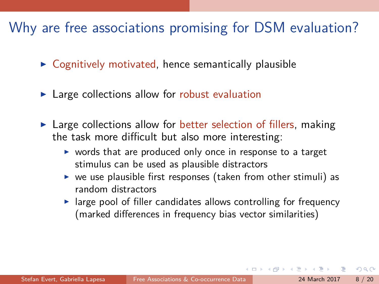## <span id="page-8-0"></span>Why are free associations promising for DSM evaluation?

- $\triangleright$  Cognitively motivated, hence semantically plausible
- $\blacktriangleright$  Large collections allow for robust evaluation
- $\triangleright$  Large collections allow for better selection of fillers, making the task more difficult but also more interesting:
	- $\triangleright$  words that are produced only once in response to a target stimulus can be used as plausible distractors
	- $\triangleright$  we use plausible first responses (taken from other stimuli) as random distractors
	- $\blacktriangleright$  large pool of filler candidates allows controlling for frequency (marked differences in frequency bias vector similarities)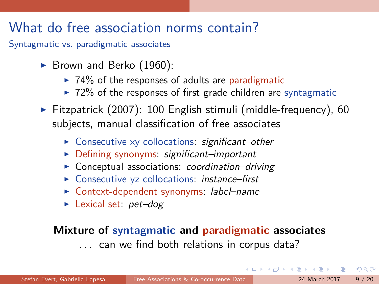## What do free association norms contain?

Syntagmatic vs. paradigmatic associates

- $\triangleright$  [Brown and Berko \(1960\)](#page-18-5):
	- $\triangleright$  74% of the responses of adults are paradigmatic
	- $\triangleright$  72% of the responses of first grade children are syntagmatic
- $\blacktriangleright$  [Fitzpatrick \(2007\)](#page-18-6): 100 English stimuli (middle-frequency), 60 subjects, manual classification of free associates
	- ▶ Consecutive xy collocations: *significant–other*
	- <sup>I</sup> Defining synonyms: *significant–important*
	- ▶ Conceptual associations: *coordination-driving*
	- <sup>I</sup> Consecutive yz collocations: *instance–first*
	- <sup>I</sup> Context-dependent synonyms: *label–name*
	- ► Lexical set: *pet-dog*

#### **Mixture of syntagmatic and paradigmatic associates**

. . . can we find both relations in corpus data?

 $QQ$ 

 $\mathcal{A} \oplus \mathcal{B} \rightarrow \mathcal{A} \oplus \mathcal{B} \rightarrow \mathcal{A} \oplus \mathcal{B}$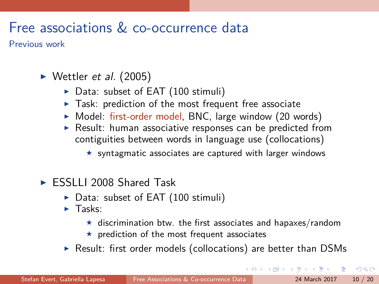## Free associations & co-occurrence data

Previous work

- [Wettler](#page-19-4) *et al.* (2005)
	- ▶ Data: subset of EAT (100 stimuli)
	- $\blacktriangleright$  Task: prediction of the most frequent free associate
	- ▶ Model: first-order model, BNC, large window (20 words)
	- $\triangleright$  Result: human associative responses can be predicted from contiguities between words in language use (collocations)
		- $\star$  syntagmatic associates are captured with larger windows
- $\triangleright$  ESSLLI 2008 Shared Task
	- $\triangleright$  Data: subset of EAT (100 stimuli)
	- $\blacktriangleright$  Tasks:
		- $\star$  discrimination btw. the first associates and hapaxes/random
		- $\star$  prediction of the most frequent associates
	- $\triangleright$  Result: first order models (collocations) are better than DSMs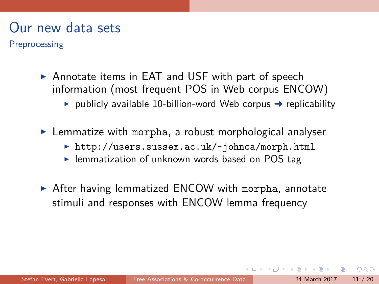## Our new data sets

**Preprocessing** 

- $\triangleright$  Annotate items in EAT and USF with part of speech information (most frequent POS in Web corpus ENCOW)
	- **P** publicly available 10-billion-word Web corpus  $\rightarrow$  replicability
- $\blacktriangleright$  Lemmatize with morpha, a robust morphological analyser
	- ▶ <http://users.sussex.ac.uk/~johnca/morph.html>
	- $\blacktriangleright$  lemmatization of unknown words based on POS tag
- $\triangleright$  After having lemmatized ENCOW with morpha, annotate stimuli and responses with ENCOW lemma frequency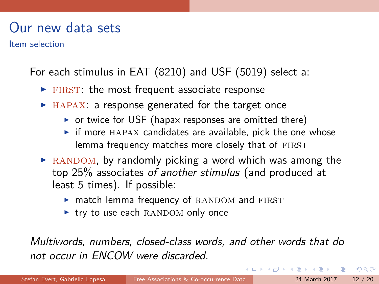## Our new data sets

Item selection

- For each stimulus in EAT (8210) and USF (5019) select a:
	- $\triangleright$  FIRST: the most frequent associate response
	- $\blacktriangleright$  HAPAX: a response generated for the target once
		- $\triangleright$  or twice for USF (hapax responses are omitted there)
		- $\triangleright$  if more HAPAX candidates are available, pick the one whose lemma frequency matches more closely that of FIRST
	- $\triangleright$  RANDOM, by randomly picking a word which was among the top 25% associates *of another stimulus* (and produced at least 5 times). If possible:
		- $\triangleright$  match lemma frequency of RANDOM and FIRST
		- $\blacktriangleright$  try to use each RANDOM only once

*Multiwords, numbers, closed-class words, and other words that do not occur in ENCOW were discarded.*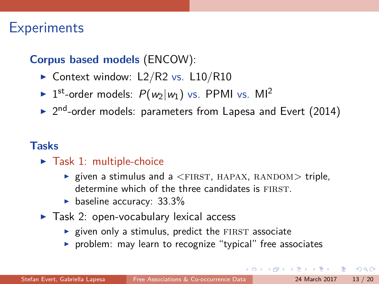## **Experiments**

#### **Corpus based models** (ENCOW):

- $\triangleright$  Context window: L2/R2 vs. L10/R10
- $\triangleright$  1<sup>st</sup>-order models:  $P(w_2|w_1)$  vs. PPMI vs. MI<sup>2</sup>
- $\triangleright$  2<sup>nd</sup>-order models: parameters from [Lapesa and Evert \(2014\)](#page-19-5)

#### **Tasks**

- $\blacktriangleright$  Task 1: multiple-choice
	- **Exercise 3 is stimulus and a** <FIRST, HAPAX, RANDOM> triple, determine which of the three candidates is FIRST.
	- $\blacktriangleright$  baseline accuracy: 33.3%
- $\blacktriangleright$  Task 2: open-vocabulary lexical access
	- $\triangleright$  given only a stimulus, predict the FIRST associate
	- $\triangleright$  problem: may learn to recognize "typical" free associates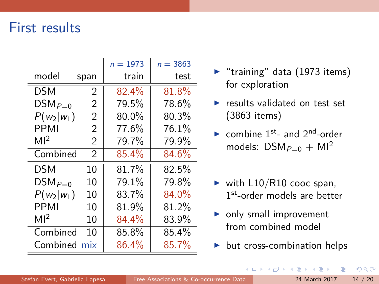### First results

|                 |                | $n = 1973$ | $n = 3863$          |
|-----------------|----------------|------------|---------------------|
| model           | span           | train      | test                |
| <b>DSM</b>      | $\overline{2}$ | 82.4%      | $81.\overline{8\%}$ |
| $DSM_{P=0}$     | 2              | 79.5%      | 78.6%               |
| $P(w_2 w_1)$    | 2              | $80.0\%$   | 80.3%               |
| PPMI            | 2              | 77.6%      | 76.1%               |
| M <sup>2</sup>  | $\overline{2}$ | 79.7%      | 79.9%               |
| Combined        | $\overline{2}$ | 85.4%      | 84.6%               |
| <b>DSM</b>      | 10             | 81.7%      | 82.5%               |
| $DSM_{P=0}$     | 10             | 79.1%      | 79.8%               |
| $P(w_2 w_1)$    | 10             | 83.7%      | $84.0\%$            |
| PPMI            | 10             | 81.9%      | 81.2%               |
| Ml <sup>2</sup> | 10             | 84.4%      | 83.9%               |
| Combined        | 10             | 85.8%      | 85.4%               |
| Combined        | mix            | 86.4%      | $85.7\%$            |

- $\blacktriangleright$  "training" data (1973 items) for exploration
- $\blacktriangleright$  results validated on test set (3863 items)
- $\triangleright$  combine 1<sup>st</sup>- and 2<sup>nd</sup>-order models:  $DSM_{P=0}$  + MI<sup>2</sup>
- $\triangleright$  with L10/R10 cooc span, 1st-order models are better
- $\triangleright$  only small improvement from combined model
- $\blacktriangleright$  but cross-combination helps

 $200$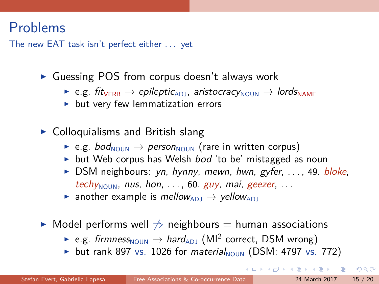### Problems

The new EAT task isn't perfect either . . . yet

 $\triangleright$  Guessing POS from corpus doesn't always work

- **E.g.**  $fit_{VERB} \rightarrow epileptic_{ADL}$ , *aristocracy*<sub>NOUN</sub>  $\rightarrow$  *lords*<sub>NAME</sub>
- $\blacktriangleright$  but very few lemmatization errors
- $\triangleright$  Colloquialisms and British slang
	- **E.g.** *bod*<sub>NOUN</sub>  $\rightarrow$  *person*<sub>NOUN</sub> (rare in written corpus)
	- ▶ but Web corpus has Welsh *bod* 'to be' mistagged as noun
	- DSM neighbours: *yn*, *hynny*, *mewn*, *hwn*, *gyfer*, ..., 49. *bloke*,  $techv_{\text{NOLIN}}$ , *nus*, *hon*, ..., 60. *guy*, *mai*, *geezer*, ...
	- **Example is** *mellow*<sub>ADJ</sub>  $\rightarrow$  *yellow*<sub>ADJ</sub>
- $\triangleright$  Model performs well  $\Rightarrow$  neighbours = human associations
	- **E.g.** firmness<sub>NOUN</sub>  $\rightarrow$  hard<sub>ADJ</sub> (MI<sup>2</sup> correct, DSM wrong)
	- but rank 897 vs. 1026 for *material*<sub>NOUN</sub> (DSM: 4797 vs. 772)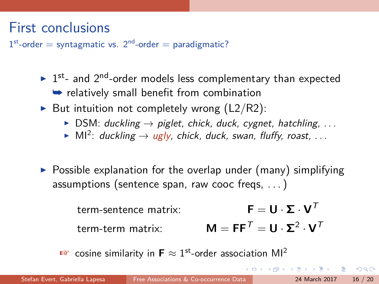## <span id="page-16-0"></span>First conclusions

 $1<sup>st</sup>$ -order = syntagmatic vs.  $2<sup>nd</sup>$ -order = paradigmatic?

- $\blacktriangleright$  1<sup>st</sup>- and 2<sup>nd</sup>-order models less complementary than expected  $\rightarrow$  relatively small benefit from combination
- $\triangleright$  But intuition not completely wrong (L2/R2):
	- $\triangleright$  DSM: *duckling*  $\rightarrow$  *piglet, chick, duck, cygnet, hatchling, ...*
	- $\blacktriangleright$  MI<sup>2</sup>: *duckling*  $\rightarrow$  *ugly, chick, duck, swan, fluffy, roast, ...*
- $\triangleright$  Possible explanation for the overlap under (many) simplifying assumptions (sentence span, raw cooc freqs, . . . )

term-sentence matrix:  $\mathbf{F} = \mathbf{U} \cdot \mathbf{\Sigma} \cdot \mathbf{V}^T$ term-term matrix:  $M = FF^T = U \cdot \Sigma^2 \cdot V^T$ 

**Ex** cosine similarity in  $\mathbf{F} \approx 1^{\text{st}}$ -order association MI<sup>2</sup>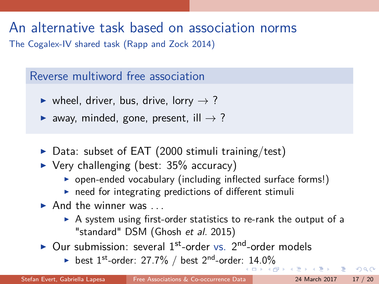# <span id="page-17-0"></span>An alternative task based on association norms

The Cogalex-IV shared task [\(Rapp and Zock 2014\)](#page-19-6)

#### Reverse multiword free association

- ighthropoletic virtu-<br>Interview, drive, lorry  $\rightarrow$  ?
- **D** away, minded, gone, present, ill  $\rightarrow$  ?
- $\triangleright$  Data: subset of EAT (2000 stimuli training/test)
- $\triangleright$  Very challenging (best: 35% accuracy)
	- $\triangleright$  open-ended vocabulary (including inflected surface forms!)
	- $\triangleright$  need for integrating predictions of different stimuli
- $\blacktriangleright$  And the winner was
	- $\triangleright$  A system using first-order statistics to re-rank the output of a "standard" DSM [\(Ghosh](#page-18-7) *et al.* 2015)
- $\triangleright$  Our submission: several 1<sup>st</sup>-order vs. 2<sup>nd</sup>-order models
	- best  $1^{st}$ -order: 27.7[%](#page-16-0) / best  $2^{nd}$ -order[: 1](#page-16-0)[4.0](#page-0-0)%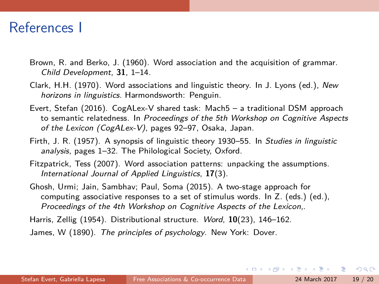#### References I

- <span id="page-18-5"></span>Brown, R. and Berko, J. (1960). Word association and the acquisition of grammar. *Child Development*, **31**, 1–14.
- <span id="page-18-4"></span>Clark, H.H. (1970). Word associations and linguistic theory. In J. Lyons (ed.), *New horizons in linguistics*. Harmondsworth: Penguin.
- <span id="page-18-2"></span>Evert, Stefan (2016). CogALex-V shared task: Mach5 – a traditional DSM approach to semantic relatedness. In *Proceedings of the 5th Workshop on Cognitive Aspects of the Lexicon (CogALex-V)*, pages 92–97, Osaka, Japan.
- <span id="page-18-1"></span>Firth, J. R. (1957). A synopsis of linguistic theory 1930–55. In *Studies in linguistic analysis*, pages 1–32. The Philological Society, Oxford.
- <span id="page-18-6"></span>Fitzpatrick, Tess (2007). Word association patterns: unpacking the assumptions. *International Journal of Applied Linguistics*, **17**(3).
- <span id="page-18-7"></span>Ghosh, Urmi; Jain, Sambhav; Paul, Soma (2015). A two-stage approach for computing associative responses to a set of stimulus words. In Z. (eds.) (ed.), *Proceedings of the 4th Workshop on Cognitive Aspects of the Lexicon,*.

<span id="page-18-0"></span>Harris, Zellig (1954). Distributional structure. *Word*, **10**(23), 146–162.

<span id="page-18-3"></span>James, W (1890). *The principles of psychology*. New York: Dover.

 $\Omega$ 

 $\mathbf{A} \otimes \mathbf{A} \otimes \mathbf{A} \otimes \mathbf{A} \otimes \mathbf{A} \otimes \mathbf{A} \otimes \mathbf{A} \otimes \mathbf{A} \otimes \mathbf{A} \otimes \mathbf{A} \otimes \mathbf{A} \otimes \mathbf{A} \otimes \mathbf{A} \otimes \mathbf{A} \otimes \mathbf{A} \otimes \mathbf{A} \otimes \mathbf{A} \otimes \mathbf{A} \otimes \mathbf{A} \otimes \mathbf{A} \otimes \mathbf{A} \otimes \mathbf{A} \otimes \mathbf{A} \otimes \mathbf{A} \otimes \mathbf{$